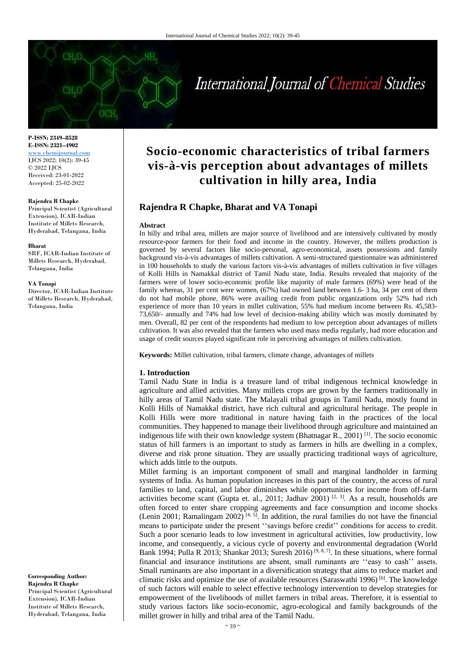# International Journal of Chemical Studies

**P-ISSN: 2349–8528 E-ISSN: 2321–4902** <www.chemijournal.com> IJCS 2022; 10(2): 39-45 © 2022 IJCS Received: 23-01-2022 Accepted: 25-02-2022

#### **Rajendra R Chapke**

Principal Scientist (Agricultural Extension), ICAR-Indian Institute of Millets Research, Hyderabad, Telangana, India

#### **Bharat**

SRF, ICAR-Indian Institute of Millets Research, Hyderabad, Telangana, India

#### **VA Tonapi**

Director, ICAR-Indian Institute of Millets Research, Hyderabad, Telangana, India

#### **Corresponding Author: Rajendra R Chapke** Principal Scientist (Agricultural Extension), ICAR-Indian Institute of Millets Research, Hyderabad, Telangana, India

## **Socio-economic characteristics of tribal farmers vis-à-vis perception about advantages of millets cultivation in hilly area, India**

### **Rajendra R Chapke, Bharat and VA Tonapi**

#### **Abstract**

In hilly and tribal area, millets are major source of livelihood and are intensively cultivated by mostly resource-poor farmers for their food and income in the country. However, the millets production is governed by several factors like socio-personal, agro-economical, assets possessions and family background vis-à-vis advantages of millets cultivation. A semi-structured questionnaire was administered in 100 households to study the various factors vis-à-vis advantages of millets cultivation in five villages of Kolli Hills in Namakkal district of Tamil Nadu state, India. Results revealed that majority of the farmers were of lower socio-economic profile like majority of male farmers (69%) were head of the family whereas, 31 per cent were women, (67%) had owned land between 1.6- 3 ha, 34 per cent of them do not had mobile phone, 86% were availing credit from public organizations only 52% had rich experience of more than 10 years in millet cultivation, 55% had medium income between Rs. 45,583- 73,650/- annually and 74% had low level of decision-making ability which was mostly dominated by men. Overall, 82 per cent of the respondents had medium to low perception about advantages of millets cultivation. It was also revealed that the farmers who used mass media regularly, had more education and usage of credit sources played significant role in perceiving advantages of millets cultivation.

**Keywords:** Millet cultivation, tribal farmers, climate change, advantages of millets

#### **1. Introduction**

Tamil Nadu State in India is a treasure land of tribal indigenous technical knowledge in agriculture and allied activities. Many millets crops are grown by the farmers traditionally in hilly areas of Tamil Nadu state. The Malayali tribal groups in Tamil Nadu, mostly found in Kolli Hills of Namakkal district, have rich cultural and agricultural heritage. The people in Kolli Hills were more traditional in nature having faith in the practices of the local communities. They happened to manage their livelihood through agriculture and maintained an indigenous life with their own knowledge system (Bhatnagar R., 2001) <sup>[1]</sup>. The socio economic status of hill farmers is an important to study as farmers in hills are dwelling in a complex, diverse and risk prone situation. They are usually practicing traditional ways of agriculture, which adds little to the outputs.

Millet farming is an important component of small and marginal landholder in farming systems of India. As human population increases in this part of the country, the access of rural families to land, capital, and labor diminishes while opportunities for income from off-farm activities become scant (Gupta et. al., 2011; Jadhav 2001)<sup>[2, 3]</sup>. As a result, households are often forced to enter share cropping agreements and face consumption and income shocks (Lenin 2001; Ramalingam 2002)  $[4, 5]$ . In addition, the rural families do not have the financial means to participate under the present ''savings before credit'' conditions for access to credit. Such a poor scenario leads to low investment in agricultural activities, low productivity, low income, and consequently, a vicious cycle of poverty and environmental degradation (World Bank 1994; Pulla R 2013; Shankar 2013; Suresh 2016) [9, 8, 7]. In these situations, where formal financial and insurance institutions are absent, small ruminants are ''easy to cash'' assets. Small ruminants are also important in a diversification strategy that aims to reduce market and climatic risks and optimize the use of available resources (Saraswathi 1996)  $[6]$ . The knowledge of such factors will enable to select effective technology intervention to develop strategies for empowerment of the livelihoods of millet farmers in tribal areas. Therefore, it is essential to study various factors like socio-economic, agro-ecological and family backgrounds of the millet grower in hilly and tribal area of the Tamil Nadu.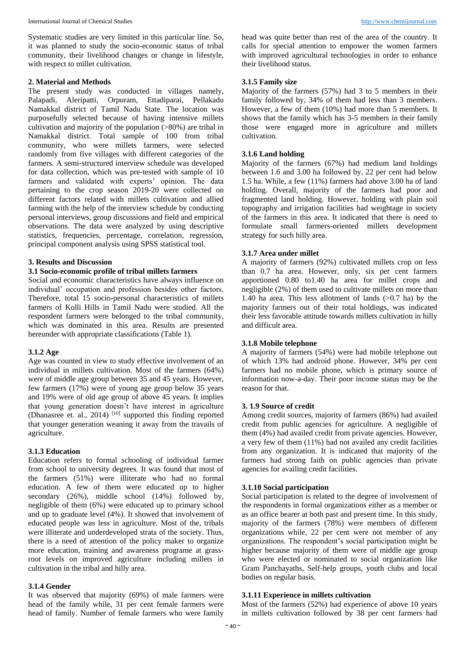Systematic studies are very limited in this particular line. So, it was planned to study the socio-economic status of tribal community, their livelihood changes or change in lifestyle, with respect to millet cultivation.

#### **2. Material and Methods**

The present study was conducted in villages namely, Palapadi, Aleripatti, Orpuram, Ettadiparai, Pellakadu Namakkal district of Tamil Nadu State. The location was purposefully selected because of having intensive millets cultivation and majority of the population (>80%) are tribal in Namakkal district. Total sample of 100 from tribal community, who were millets farmers, were selected randomly from five villages with different categories of the farmers. A semi-structured interview schedule was developed for data collection, which was pre-tested with sample of 10 farmers and validated with experts' opinion. The data pertaining to the crop season 2019-20 were collected on different factors related with millets cultivation and allied farming with the help of the interview schedule by conducting personal interviews, group discussions and field and empirical observations. The data were analyzed by using descriptive statistics, frequencies, percentage, correlation, regression, principal component analysis using SPSS statistical tool.

#### **3. Results and Discussion**

#### **3.1 Socio-economic profile of tribal millets farmers**

Social and economic characteristics have always influence on individual' occupation and profession besides other factors. Therefore, total 15 socio-personal characteristics of millets farmers of Kolli Hills in Tamil Nadu were studied. All the respondent farmers were belonged to the tribal community, which was dominated in this area. Results are presented hereunder with appropriate classifications (Table 1).

#### **3.1.2 Age**

Age was counted in view to study effective involvement of an individual in millets cultivation. Most of the farmers (64%) were of middle age group between 35 and 45 years. However, few farmers (17%) were of young age group below 35 years and 19% were of old age group of above 45 years. It implies that young generation doesn't have interest in agriculture (Dhanasree et. al., 2014)<sup>[10]</sup> supported this finding reported that younger generation weaning it away from the travails of agriculture.

#### **3.1.3 Education**

Education refers to formal schooling of individual farmer from school to university degrees. It was found that most of the farmers (51%) were illiterate who had no formal education. A few of them were educated up to higher secondary (26%), middle school (14%) followed by, negligible of them (6%) were educated up to primary school and up to graduate level (4%). It showed that involvement of educated people was less in agriculture. Most of the, tribals were illiterate and underdeveloped strata of the society. Thus, there is a need of attention of the policy maker to organize more education, training and awareness programe at grassroot levels on improved agriculture including millets in cultivation in the tribal and hilly area.

#### **3.1.4 Gender**

It was observed that majority (69%) of male farmers were head of the family while, 31 per cent female farmers were head of family. Number of female farmers who were family

head was quite better than rest of the area of the country. It calls for special attention to empower the women farmers with improved agricultural technologies in order to enhance their livelihood status.

#### **3.1.5 Family size**

Majority of the farmers (57%) had 3 to 5 members in their family followed by, 34% of them had less than 3 members. However, a few of them (10%) had more than 5 members. It shows that the family which has 3-5 members in their family those were engaged more in agriculture and millets cultivation.

#### **3.1.6 Land holding**

Majority of the farmers (67%) had medium land holdings between 1.6 and 3.00 ha followed by, 22 per cent had below 1.5 ha. While, a few (11%) farmers had above 3.00 ha of land holding. Overall, majority of the farmers had poor and fragmented land holding. However, holding with plain soil topography and irrigation facilities had weightage in society of the farmers in this area. It indicated that there is need to formulate small farmers-oriented millets development strategy for such hilly area.

#### **3.1.7 Area under millet**

A majority of farmers (92%) cultivated millets crop on less than 0.7 ha area. However, only, six per cent farmers apportioned 0.80 to1.40 ha area for millet crops and negligible (2%) of them used to cultivate millets on more than 1.40 ha area. This less allotment of lands  $(>0.7$  ha) by the majority farmers out of their total holdings, was indicated their less favorable attitude towards millets cultivation in hilly and difficult area.

#### **3.1.8 Mobile telephone**

A majority of farmers (54%) were had mobile telephone out of which 13% had android phone. However, 34% per cent farmers had no mobile phone, which is primary source of information now-a-day. Their poor income status may be the reason for that.

#### **3. 1.9 Source of credit**

Among credit sources, majority of farmers (86%) had availed credit from public agencies for agriculture. A negligible of them (4%) had availed credit from private agencies. However, a very few of them (11%) had not availed any credit facilities from any organization. It is indicated that majority of the farmers had strong faith on public agencies than private agencies for availing credit facilities.

#### **3.1.10 Social participation**

Social participation is related to the degree of involvement of the respondents in formal organizations either as a member or as an office bearer at both past and present time. In this study, majority of the farmers (78%) were members of different organizations while, 22 per cent were not member of any organizations. The respondent's social participation might be higher because majority of them were of middle age group who were elected or nominated to social organization like Gram Panchayaths, Self-help groups, youth clubs and local bodies on regular basis.

#### **3.1.11 Experience in millets cultivation**

Most of the farmers (52%) had experience of above 10 years in millets cultivation followed by 38 per cent farmers had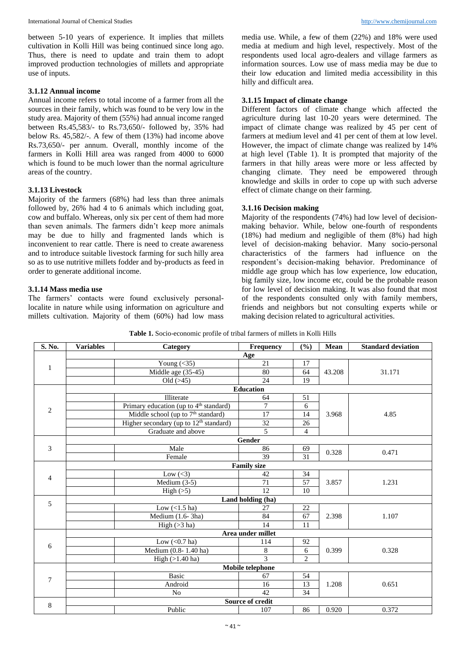between 5-10 years of experience. It implies that millets cultivation in Kolli Hill was being continued since long ago. Thus, there is need to update and train them to adopt improved production technologies of millets and appropriate use of inputs.

#### **3.1.12 Annual income**

Annual income refers to total income of a farmer from all the sources in their family, which was found to be very low in the study area. Majority of them (55%) had annual income ranged between Rs.45,583/- to Rs.73,650/- followed by, 35% had below Rs. 45,582/-. A few of them (13%) had income above Rs.73,650/- per annum. Overall, monthly income of the farmers in Kolli Hill area was ranged from 4000 to 6000 which is found to be much lower than the normal agriculture areas of the country.

#### **3.1.13 Livestock**

Majority of the farmers (68%) had less than three animals followed by, 26% had 4 to 6 animals which including goat, cow and buffalo. Whereas, only six per cent of them had more than seven animals. The farmers didn't keep more animals may be due to hilly and fragmented lands which is inconvenient to rear cattle. There is need to create awareness and to introduce suitable livestock farming for such hilly area so as to use nutritive millets fodder and by-products as feed in order to generate additional income.

#### **3.1.14 Mass media use**

The farmers' contacts were found exclusively personallocalite in nature while using information on agriculture and millets cultivation. Majority of them (60%) had low mass

media use. While, a few of them (22%) and 18% were used media at medium and high level, respectively. Most of the respondents used local agro-dealers and village farmers as information sources. Low use of mass media may be due to their low education and limited media accessibility in this hilly and difficult area.

#### **3.1.15 Impact of climate change**

Different factors of climate change which affected the agriculture during last 10-20 years were determined. The impact of climate change was realized by 45 per cent of farmers at medium level and 41 per cent of them at low level. However, the impact of climate change was realized by 14% at high level (Table 1). It is prompted that majority of the farmers in that hilly areas were more or less affected by changing climate. They need be empowered through knowledge and skills in order to cope up with such adverse effect of climate change on their farming.

#### **3.1.16 Decision making**

Majority of the respondents (74%) had low level of decisionmaking behavior. While, below one-fourth of respondents (18%) had medium and negligible of them (8%) had high level of decision-making behavior. Many socio-personal characteristics of the farmers had influence on the respondent's decision-making behavior. Predominance of middle age group which has low experience, low education, big family size, low income etc, could be the probable reason for low level of decision making. It was also found that most of the respondents consulted only with family members, friends and neighbors but not consulting experts while or making decision related to agricultural activities.

| S. No.            | <b>Variables</b>  | Category                                           | Frequency<br>(%)                             |                | Mean   | <b>Standard deviation</b> |  |  |  |  |  |  |  |
|-------------------|-------------------|----------------------------------------------------|----------------------------------------------|----------------|--------|---------------------------|--|--|--|--|--|--|--|
|                   | Age               |                                                    |                                              |                |        |                           |  |  |  |  |  |  |  |
| $\mathbf{1}$      |                   | Young $\overline{(\langle 35 \rangle)}$            | 21                                           | 17             |        |                           |  |  |  |  |  |  |  |
|                   |                   | Middle age (35-45)                                 | 80                                           | 64             | 43.208 | 31.171                    |  |  |  |  |  |  |  |
|                   |                   | Old $($ >45 $)$                                    | 24                                           | 19             |        |                           |  |  |  |  |  |  |  |
|                   |                   |                                                    |                                              |                |        |                           |  |  |  |  |  |  |  |
|                   |                   | Illiterate                                         | 64                                           | 51             |        |                           |  |  |  |  |  |  |  |
| $\sqrt{2}$        |                   | Primary education (up to 4 <sup>th</sup> standard) | $\overline{7}$                               | 6              |        |                           |  |  |  |  |  |  |  |
|                   |                   | Middle school (up to 7 <sup>th</sup> standard)     | 17                                           | 14             | 3.968  | 4.85                      |  |  |  |  |  |  |  |
|                   |                   | Higher secondary (up to 12 <sup>th</sup> standard) | $\overline{32}$                              | 26             |        |                           |  |  |  |  |  |  |  |
|                   |                   | Graduate and above                                 | 5                                            | 4              |        |                           |  |  |  |  |  |  |  |
|                   |                   | Gender                                             |                                              |                |        |                           |  |  |  |  |  |  |  |
| $\mathfrak{Z}$    |                   | Male                                               | 86                                           | 69             | 0.328  | 0.471                     |  |  |  |  |  |  |  |
|                   |                   | Female                                             | 39<br><b>Family size</b>                     | 31             |        |                           |  |  |  |  |  |  |  |
|                   |                   |                                                    |                                              |                |        |                           |  |  |  |  |  |  |  |
| $\overline{4}$    |                   | Low $(<3)$                                         | 42                                           | 34             |        |                           |  |  |  |  |  |  |  |
|                   |                   | Medium $(3-5)$                                     | 71                                           | 57             | 3.857  | 1.231                     |  |  |  |  |  |  |  |
|                   |                   | High $(5)$                                         | 12                                           | 10             |        |                           |  |  |  |  |  |  |  |
| 5                 | Land holding (ha) |                                                    |                                              |                |        |                           |  |  |  |  |  |  |  |
|                   |                   | Low $(<1.5$ ha)                                    | 27                                           | 22             |        |                           |  |  |  |  |  |  |  |
|                   |                   | Medium (1.6-3ha)                                   | 84                                           | 67             | 2.398  | 1.107                     |  |  |  |  |  |  |  |
|                   |                   | High $(>3$ ha)                                     | 14                                           | 11             |        |                           |  |  |  |  |  |  |  |
| Area under millet |                   |                                                    |                                              |                |        |                           |  |  |  |  |  |  |  |
| $\sqrt{6}$        |                   | Low $(0.7$ ha)                                     | 114                                          | 92             |        |                           |  |  |  |  |  |  |  |
|                   |                   | Medium (0.8-1.40 ha)                               | 8                                            | 6              | 0.399  | 0.328                     |  |  |  |  |  |  |  |
|                   |                   | High $(>1.40$ ha)                                  | $\overline{\mathcal{E}}$<br>Mobile telephone | $\overline{c}$ |        |                           |  |  |  |  |  |  |  |
|                   |                   |                                                    |                                              |                |        |                           |  |  |  |  |  |  |  |
| $\tau$            |                   | <b>Basic</b>                                       | 67                                           | 54             |        |                           |  |  |  |  |  |  |  |
|                   |                   | Android                                            | 16                                           | 13             | 1.208  | 0.651                     |  |  |  |  |  |  |  |
|                   |                   | N <sub>o</sub>                                     | 42                                           | 34             |        |                           |  |  |  |  |  |  |  |
| $\,8\,$           |                   |                                                    | Source of credit                             |                |        |                           |  |  |  |  |  |  |  |
|                   |                   | Public                                             | 107                                          | 86             | 0.920  | 0.372                     |  |  |  |  |  |  |  |

**Table 1.** Socio-economic profile of tribal farmers of millets in Kolli Hills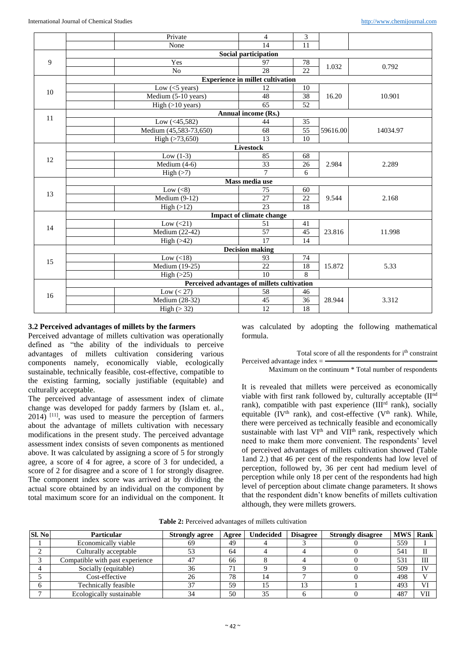|                           | Private                                     | $\overline{4}$                  | 3               |          |          |  |  |  |  |  |  |  |  |  |
|---------------------------|---------------------------------------------|---------------------------------|-----------------|----------|----------|--|--|--|--|--|--|--|--|--|
|                           | None                                        | 14                              | 11              |          |          |  |  |  |  |  |  |  |  |  |
|                           |                                             | <b>Social participation</b>     |                 |          |          |  |  |  |  |  |  |  |  |  |
| 9                         | Yes                                         | 97                              | 78              |          |          |  |  |  |  |  |  |  |  |  |
|                           | N <sub>o</sub>                              | $\overline{28}$                 | $\overline{22}$ | 1.032    | 0.792    |  |  |  |  |  |  |  |  |  |
|                           | <b>Experience in millet cultivation</b>     |                                 |                 |          |          |  |  |  |  |  |  |  |  |  |
| 10                        | Low $(<5$ years)                            | 12                              | 10              |          |          |  |  |  |  |  |  |  |  |  |
|                           | Medium (5-10 years)                         | 48                              | 38              | 16.20    | 10.901   |  |  |  |  |  |  |  |  |  |
|                           | High $(>10$ years)                          | 65                              | 52              |          |          |  |  |  |  |  |  |  |  |  |
| Annual income (Rs.)<br>11 |                                             |                                 |                 |          |          |  |  |  |  |  |  |  |  |  |
|                           | Low $(<15,582)$                             | 44                              | 35              |          |          |  |  |  |  |  |  |  |  |  |
|                           | Medium (45,583-73,650)                      | 68                              | 55              | 59616.00 | 14034.97 |  |  |  |  |  |  |  |  |  |
|                           | High $(>73,650)$                            | 13                              | 10              |          |          |  |  |  |  |  |  |  |  |  |
|                           | Livestock                                   |                                 |                 |          |          |  |  |  |  |  |  |  |  |  |
| 12                        | Low $(1-3)$                                 | 85                              | 68              | 2.984    |          |  |  |  |  |  |  |  |  |  |
|                           | Medium $(4-6)$                              | 33                              | 26              |          | 2.289    |  |  |  |  |  |  |  |  |  |
|                           | High $($ >7 $)$                             | $\overline{7}$                  | 6               |          |          |  |  |  |  |  |  |  |  |  |
|                           | Mass media use                              |                                 |                 |          |          |  |  |  |  |  |  |  |  |  |
| 13                        | Low $(<8)$                                  | 75                              | 60              |          |          |  |  |  |  |  |  |  |  |  |
|                           | Medium $(9-12)$                             | 27                              | 22              | 9.544    | 2.168    |  |  |  |  |  |  |  |  |  |
|                           | High $(>12)$                                | 23                              | 18              |          |          |  |  |  |  |  |  |  |  |  |
|                           |                                             | <b>Impact of climate change</b> |                 |          |          |  |  |  |  |  |  |  |  |  |
| 14                        | Low $(<21)$                                 | 51                              | 41              |          |          |  |  |  |  |  |  |  |  |  |
|                           | Medium (22-42)                              | 57                              | 45              | 23.816   | 11.998   |  |  |  |  |  |  |  |  |  |
|                           | High $(>42)$                                | 17                              | 14              |          |          |  |  |  |  |  |  |  |  |  |
|                           |                                             | <b>Decision making</b>          |                 |          |          |  |  |  |  |  |  |  |  |  |
| 15                        | Low $(<18)$                                 | 93                              | 74              |          |          |  |  |  |  |  |  |  |  |  |
|                           | Medium (19-25)                              | $\overline{22}$                 | $\overline{18}$ | 15.872   | 5.33     |  |  |  |  |  |  |  |  |  |
|                           | High $(>25)$                                | $\overline{10}$                 | 8               |          |          |  |  |  |  |  |  |  |  |  |
|                           | Perceived advantages of millets cultivation |                                 |                 |          |          |  |  |  |  |  |  |  |  |  |
| 16                        | Low $(< 27)$                                | 58                              | 46              |          |          |  |  |  |  |  |  |  |  |  |
|                           | Medium (28-32)                              | 45                              | 36              | 28.944   | 3.312    |  |  |  |  |  |  |  |  |  |
|                           | High (> 32)                                 | 12                              | 18              |          |          |  |  |  |  |  |  |  |  |  |

#### **3.2 Perceived advantages of millets by the farmers**

Perceived advantage of millets cultivation was operationally defined as "the ability of the individuals to perceive advantages of millets cultivation considering various components namely, economically viable, ecologically sustainable, technically feasible, cost-effective, compatible to the existing farming, socially justifiable (equitable) and culturally acceptable.

The perceived advantage of assessment index of climate change was developed for paddy farmers by (Islam et. al.,  $2014$ )  $[11]$ , was used to measure the perception of farmers about the advantage of millets cultivation with necessary modifications in the present study. The perceived advantage assessment index consists of seven components as mentioned above. It was calculated by assigning a score of 5 for strongly agree, a score of 4 for agree, a score of 3 for undecided, a score of 2 for disagree and a score of 1 for strongly disagree. The component index score was arrived at by dividing the actual score obtained by an individual on the component by total maximum score for an individual on the component. It

was calculated by adopting the following mathematical formula.

Total score of all the respondents for i<sup>th</sup> constraint

Perceived advantage index  $=$ Maximum on the continuum \* Total number of respondents

It is revealed that millets were perceived as economically viable with first rank followed by, culturally acceptable (II<sup>nd</sup> rank), compatible with past experience  $(III<sup>rd</sup> rank)$ , socially equitable (IV<sup>th</sup> rank), and cost-effective (V<sup>th</sup> rank). While, there were perceived as technically feasible and economically sustainable with last VI<sup>th</sup> and VII<sup>th</sup> rank, respectively which need to make them more convenient. The respondents' level of perceived advantages of millets cultivation showed (Table 1and 2.) that 46 per cent of the respondents had low level of perception, followed by, 36 per cent had medium level of perception while only 18 per cent of the respondents had high level of perception about climate change parameters. It shows that the respondent didn't know benefits of millets cultivation although, they were millets growers.

| <b>SI. No</b> | <b>Particular</b>               | <b>Strongly agree</b> | <b>Undecided</b><br>Agree |  | <b>Disagree</b> | <b>Strongly disagree</b> | <b>MWS   Rank</b> |     |
|---------------|---------------------------------|-----------------------|---------------------------|--|-----------------|--------------------------|-------------------|-----|
|               | Economically viable             | hУ                    | 49                        |  |                 |                          | 559               |     |
|               | Culturally acceptable           |                       | 64                        |  |                 |                          | 541               |     |
|               | Compatible with past experience |                       | 66                        |  |                 |                          | 531               | Ш   |
|               | Socially (equitable)            | 36                    | 71                        |  |                 |                          | 509               | TV  |
|               | Cost-effective                  | 26                    | 78                        |  |                 |                          | 498               |     |
|               | Technically feasible            |                       | 59                        |  |                 |                          | 493               | VЛ  |
|               | Ecologically sustainable        |                       | 50                        |  |                 |                          | 487               | VII |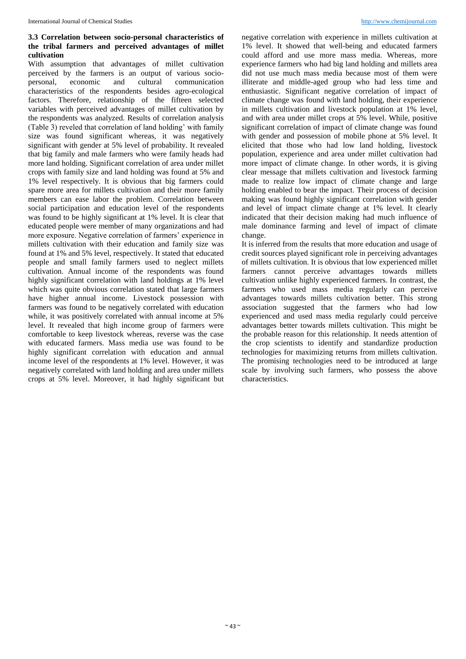#### **3.3 Correlation between socio-personal characteristics of the tribal farmers and perceived advantages of millet cultivation**

With assumption that advantages of millet cultivation perceived by the farmers is an output of various sociopersonal, economic and cultural communication characteristics of the respondents besides agro-ecological factors. Therefore, relationship of the fifteen selected variables with perceived advantages of millet cultivation by the respondents was analyzed. Results of correlation analysis (Table 3) reveled that correlation of land holding' with family size was found significant whereas, it was negatively significant with gender at 5% level of probability. It revealed that big family and male farmers who were family heads had more land holding. Significant correlation of area under millet crops with family size and land holding was found at 5% and 1% level respectively. It is obvious that big farmers could spare more area for millets cultivation and their more family members can ease labor the problem. Correlation between social participation and education level of the respondents was found to be highly significant at 1% level. It is clear that educated people were member of many organizations and had more exposure. Negative correlation of farmers' experience in millets cultivation with their education and family size was found at 1% and 5% level, respectively. It stated that educated people and small family farmers used to neglect millets cultivation. Annual income of the respondents was found highly significant correlation with land holdings at 1% level which was quite obvious correlation stated that large farmers have higher annual income. Livestock possession with farmers was found to be negatively correlated with education while, it was positively correlated with annual income at 5% level. It revealed that high income group of farmers were comfortable to keep livestock whereas, reverse was the case with educated farmers. Mass media use was found to be highly significant correlation with education and annual income level of the respondents at 1% level. However, it was negatively correlated with land holding and area under millets crops at 5% level. Moreover, it had highly significant but

negative correlation with experience in millets cultivation at 1% level. It showed that well-being and educated farmers could afford and use more mass media. Whereas, more experience farmers who had big land holding and millets area did not use much mass media because most of them were illiterate and middle-aged group who had less time and enthusiastic. Significant negative correlation of impact of climate change was found with land holding, their experience in millets cultivation and livestock population at 1% level, and with area under millet crops at 5% level. While, positive significant correlation of impact of climate change was found with gender and possession of mobile phone at 5% level. It elicited that those who had low land holding, livestock population, experience and area under millet cultivation had more impact of climate change. In other words, it is giving clear message that millets cultivation and livestock farming made to realize low impact of climate change and large holding enabled to bear the impact. Their process of decision making was found highly significant correlation with gender and level of impact climate change at 1% level. It clearly indicated that their decision making had much influence of male dominance farming and level of impact of climate change.

It is inferred from the results that more education and usage of credit sources played significant role in perceiving advantages of millets cultivation. It is obvious that low experienced millet farmers cannot perceive advantages towards millets cultivation unlike highly experienced farmers. In contrast, the farmers who used mass media regularly can perceive advantages towards millets cultivation better. This strong association suggested that the farmers who had low experienced and used mass media regularly could perceive advantages better towards millets cultivation. This might be the probable reason for this relationship. It needs attention of the crop scientists to identify and standardize production technologies for maximizing returns from millets cultivation. The promising technologies need to be introduced at large scale by involving such farmers, who possess the above characteristics.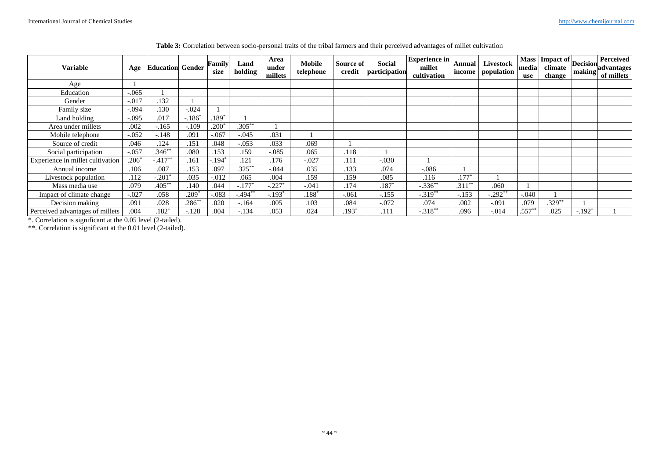| Variable                         | Age     | <b>Education Gender</b> |           | Family<br>size | Land<br>holding | Area<br>under<br>millets | Mobile<br>telephone | Source of<br>credit | Social<br>participation | <b>Experience in</b><br>millet<br>cultivation | Annual  <br>income | Livestock<br>population | media<br>use | $\sqrt{\text{Mass}}$ Impact of $\text{Decision}$ P<br>climate<br>change | making   | <b>Perceived</b><br>advantages<br>of millets |
|----------------------------------|---------|-------------------------|-----------|----------------|-----------------|--------------------------|---------------------|---------------------|-------------------------|-----------------------------------------------|--------------------|-------------------------|--------------|-------------------------------------------------------------------------|----------|----------------------------------------------|
| Age                              |         |                         |           |                |                 |                          |                     |                     |                         |                                               |                    |                         |              |                                                                         |          |                                              |
| Education                        | $-.065$ |                         |           |                |                 |                          |                     |                     |                         |                                               |                    |                         |              |                                                                         |          |                                              |
| Gender                           | $-.017$ | .132                    |           |                |                 |                          |                     |                     |                         |                                               |                    |                         |              |                                                                         |          |                                              |
| Family size                      | $-.094$ | .130                    | $-.024$   |                |                 |                          |                     |                     |                         |                                               |                    |                         |              |                                                                         |          |                                              |
| Land holding                     | $-.095$ | .017                    | $-.186*$  | $.189*$        |                 |                          |                     |                     |                         |                                               |                    |                         |              |                                                                         |          |                                              |
| Area under millets               | .002    | $-.165$                 | $-.109$   | $.200*$        | $.305**$        |                          |                     |                     |                         |                                               |                    |                         |              |                                                                         |          |                                              |
| Mobile telephone                 | $-.052$ | $-.148$                 | .091      | $-.067$        | $-.045$         | .031                     |                     |                     |                         |                                               |                    |                         |              |                                                                         |          |                                              |
| Source of credit                 | .046    | .124                    | .151      | .048           | $-.053$         | .033                     | .069                |                     |                         |                                               |                    |                         |              |                                                                         |          |                                              |
| Social participation             | $-.057$ | $.346**$                | .080      | .153           | .159            | $-.085$                  | .065                | .118                |                         |                                               |                    |                         |              |                                                                         |          |                                              |
| Experience in millet cultivation | $.206*$ | $-.417**$               | .161      | -.194*         | .121            | .176                     | $-.027$             | .111                | $-.030$                 |                                               |                    |                         |              |                                                                         |          |                                              |
| Annual income                    | .106    | .087                    | .153      | .097           | $.325***$       | $-.044$                  | .035                | .133                | .074                    | $-.086$                                       |                    |                         |              |                                                                         |          |                                              |
| Livestock population             | .112    | $-.201*$                | .035      | $-0.012$       | .065            | .004                     | .159                | .159                | .085                    | .116                                          | $.177*$            |                         |              |                                                                         |          |                                              |
| Mass media use                   | .079    | $.405**$                | .140      | .044           | $-.177*$        | $-0.227$ *               | $-.041$             | .174                | $.187*$                 | $-.336***$                                    | $.311***$          | .060                    |              |                                                                         |          |                                              |
| Impact of climate change         | $-.027$ | .058                    | $.209*$   | $-.083$        | $-0.494$        | $-.193*$                 | $.188*$             | $-.061$             | $-.155$                 | $-.319**$                                     | $-.153$            | $-.292**$               | $-.040$      |                                                                         |          |                                              |
| Decision making                  | .091    | .028                    | $.286***$ | .020           | $-.164$         | .005                     | .103                | .084                | $-.072$                 | .074                                          | .002               | $-.091$                 | .079         | $.329**$                                                                |          |                                              |
| Perceived advantages of millets  | .004    | $.182*$                 | $-.128$   | .004           | $-.134$         | .053                     | .024                | $.193*$             | .111                    | $-.318**$                                     | .096               | $-.014$                 | $.557***$    | .025                                                                    | $-.192*$ |                                              |

**Table 3:** Correlation between socio-personal traits of the tribal farmers and their perceived advantages of millet cultivation

\*. Correlation is significant at the 0.05 level (2-tailed).

\*\*. Correlation is significant at the 0.01 level (2-tailed).